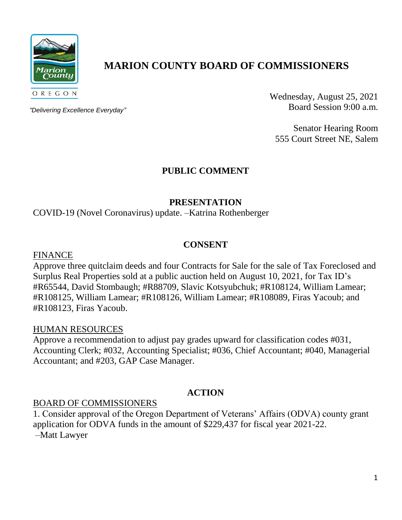

# **MARION COUNTY BOARD OF COMMISSIONERS**

*"Delivering Excellence Everyday"*

Wednesday, August 25, 2021 Board Session 9:00 a.m.

Senator Hearing Room 555 Court Street NE, Salem

# **PUBLIC COMMENT**

### **PRESENTATION**

COVID-19 (Novel Coronavirus) update. –Katrina Rothenberger

### **CONSENT**

FINANCE

Approve three quitclaim deeds and four Contracts for Sale for the sale of Tax Foreclosed and Surplus Real Properties sold at a public auction held on August 10, 2021, for Tax ID's #R65544, David Stombaugh; #R88709, Slavic Kotsyubchuk; #R108124, William Lamear; #R108125, William Lamear; #R108126, William Lamear; #R108089, Firas Yacoub; and #R108123, Firas Yacoub.

### HUMAN RESOURCES

Approve a recommendation to adjust pay grades upward for classification codes #031, Accounting Clerk; #032, Accounting Specialist; #036, Chief Accountant; #040, Managerial Accountant; and #203, GAP Case Manager.

# **ACTION**

### BOARD OF COMMISSIONERS

1. Consider approval of the Oregon Department of Veterans' Affairs (ODVA) county grant application for ODVA funds in the amount of \$229,437 for fiscal year 2021-22. –Matt Lawyer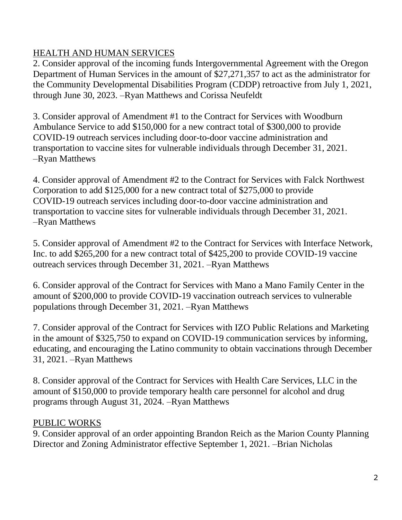# HEALTH AND HUMAN SERVICES

2. Consider approval of the incoming funds Intergovernmental Agreement with the Oregon Department of Human Services in the amount of \$27,271,357 to act as the administrator for the Community Developmental Disabilities Program (CDDP) retroactive from July 1, 2021, through June 30, 2023. –Ryan Matthews and Corissa Neufeldt

3. Consider approval of Amendment #1 to the Contract for Services with Woodburn Ambulance Service to add \$150,000 for a new contract total of \$300,000 to provide COVID-19 outreach services including door-to-door vaccine administration and transportation to vaccine sites for vulnerable individuals through December 31, 2021. –Ryan Matthews

4. Consider approval of Amendment #2 to the Contract for Services with Falck Northwest Corporation to add \$125,000 for a new contract total of \$275,000 to provide COVID-19 outreach services including door-to-door vaccine administration and transportation to vaccine sites for vulnerable individuals through December 31, 2021. –Ryan Matthews

5. Consider approval of Amendment #2 to the Contract for Services with Interface Network, Inc. to add \$265,200 for a new contract total of \$425,200 to provide COVID-19 vaccine outreach services through December 31, 2021. –Ryan Matthews

6. Consider approval of the Contract for Services with Mano a Mano Family Center in the amount of \$200,000 to provide COVID-19 vaccination outreach services to vulnerable populations through December 31, 2021. –Ryan Matthews

7. Consider approval of the Contract for Services with IZO Public Relations and Marketing in the amount of \$325,750 to expand on COVID-19 communication services by informing, educating, and encouraging the Latino community to obtain vaccinations through December 31, 2021. –Ryan Matthews

8. Consider approval of the Contract for Services with Health Care Services, LLC in the amount of \$150,000 to provide temporary health care personnel for alcohol and drug programs through August 31, 2024. –Ryan Matthews

# PUBLIC WORKS

9. Consider approval of an order appointing Brandon Reich as the Marion County Planning Director and Zoning Administrator effective September 1, 2021. –Brian Nicholas